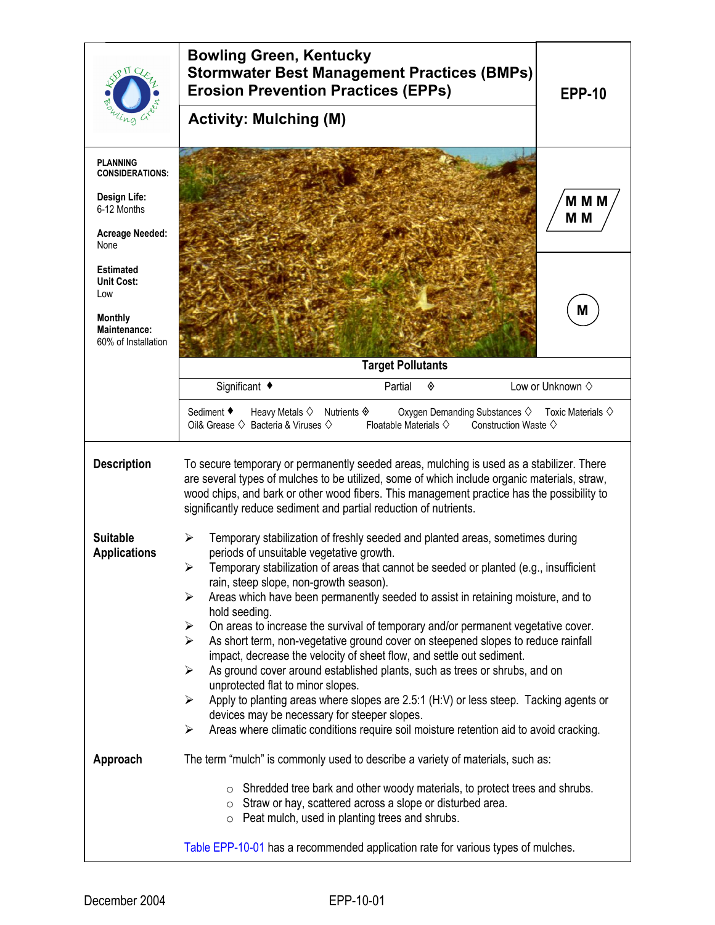|                                                                                                              | <b>Bowling Green, Kentucky</b><br><b>Stormwater Best Management Practices (BMPs)</b><br><b>Erosion Prevention Practices (EPPs)</b><br><b>Activity: Mulching (M)</b>                                                                                                                                                                                                                                                                                                                                                                                                                                                                                                                                                                                                                                                                                                                                                                                                                                                                    | <b>EPP-10</b>             |  |
|--------------------------------------------------------------------------------------------------------------|----------------------------------------------------------------------------------------------------------------------------------------------------------------------------------------------------------------------------------------------------------------------------------------------------------------------------------------------------------------------------------------------------------------------------------------------------------------------------------------------------------------------------------------------------------------------------------------------------------------------------------------------------------------------------------------------------------------------------------------------------------------------------------------------------------------------------------------------------------------------------------------------------------------------------------------------------------------------------------------------------------------------------------------|---------------------------|--|
| <b>PLANNING</b><br><b>CONSIDERATIONS:</b><br>Design Life:<br>6-12 Months<br><b>Acreage Needed:</b><br>None   |                                                                                                                                                                                                                                                                                                                                                                                                                                                                                                                                                                                                                                                                                                                                                                                                                                                                                                                                                                                                                                        | M M M<br>M <sub>M</sub>   |  |
| <b>Estimated</b><br><b>Unit Cost:</b><br>Low<br><b>Monthly</b><br><b>Maintenance:</b><br>60% of Installation | <b>Target Pollutants</b>                                                                                                                                                                                                                                                                                                                                                                                                                                                                                                                                                                                                                                                                                                                                                                                                                                                                                                                                                                                                               | M                         |  |
|                                                                                                              | Significant ◆<br>Partial<br>◈                                                                                                                                                                                                                                                                                                                                                                                                                                                                                                                                                                                                                                                                                                                                                                                                                                                                                                                                                                                                          | Low or Unknown $\diamond$ |  |
|                                                                                                              | Sediment ♦<br>Heavy Metals $\diamond$ Nutrients $\diamondsuit$<br>Oxygen Demanding Substances $\diamond$ Toxic Materials $\diamond$<br>Oil& Grease $\diamondsuit$ Bacteria & Viruses $\diamondsuit$<br>Floatable Materials $\diamondsuit$<br>Construction Waste $\diamondsuit$                                                                                                                                                                                                                                                                                                                                                                                                                                                                                                                                                                                                                                                                                                                                                         |                           |  |
| <b>Description</b>                                                                                           | To secure temporary or permanently seeded areas, mulching is used as a stabilizer. There<br>are several types of mulches to be utilized, some of which include organic materials, straw,<br>wood chips, and bark or other wood fibers. This management practice has the possibility to<br>significantly reduce sediment and partial reduction of nutrients.                                                                                                                                                                                                                                                                                                                                                                                                                                                                                                                                                                                                                                                                            |                           |  |
| <b>Suitable</b><br><b>Applications</b>                                                                       | Temporary stabilization of freshly seeded and planted areas, sometimes during<br>⋗<br>periods of unsuitable vegetative growth.<br>Temporary stabilization of areas that cannot be seeded or planted (e.g., insufficient<br>➤<br>rain, steep slope, non-growth season).<br>Areas which have been permanently seeded to assist in retaining moisture, and to<br>$\blacktriangleright$<br>hold seeding.<br>On areas to increase the survival of temporary and/or permanent vegetative cover.<br>➤<br>As short term, non-vegetative ground cover on steepened slopes to reduce rainfall<br>➤<br>impact, decrease the velocity of sheet flow, and settle out sediment.<br>As ground cover around established plants, such as trees or shrubs, and on<br>➤<br>unprotected flat to minor slopes.<br>Apply to planting areas where slopes are 2.5:1 (H:V) or less steep. Tacking agents or<br>➤<br>devices may be necessary for steeper slopes.<br>Areas where climatic conditions require soil moisture retention aid to avoid cracking.<br>➤ |                           |  |
| Approach                                                                                                     | The term "mulch" is commonly used to describe a variety of materials, such as:                                                                                                                                                                                                                                                                                                                                                                                                                                                                                                                                                                                                                                                                                                                                                                                                                                                                                                                                                         |                           |  |
|                                                                                                              | o Shredded tree bark and other woody materials, to protect trees and shrubs.<br>o Straw or hay, scattered across a slope or disturbed area.<br>$\circ$ Peat mulch, used in planting trees and shrubs.<br>Table EPP-10-01 has a recommended application rate for various types of mulches.                                                                                                                                                                                                                                                                                                                                                                                                                                                                                                                                                                                                                                                                                                                                              |                           |  |
|                                                                                                              |                                                                                                                                                                                                                                                                                                                                                                                                                                                                                                                                                                                                                                                                                                                                                                                                                                                                                                                                                                                                                                        |                           |  |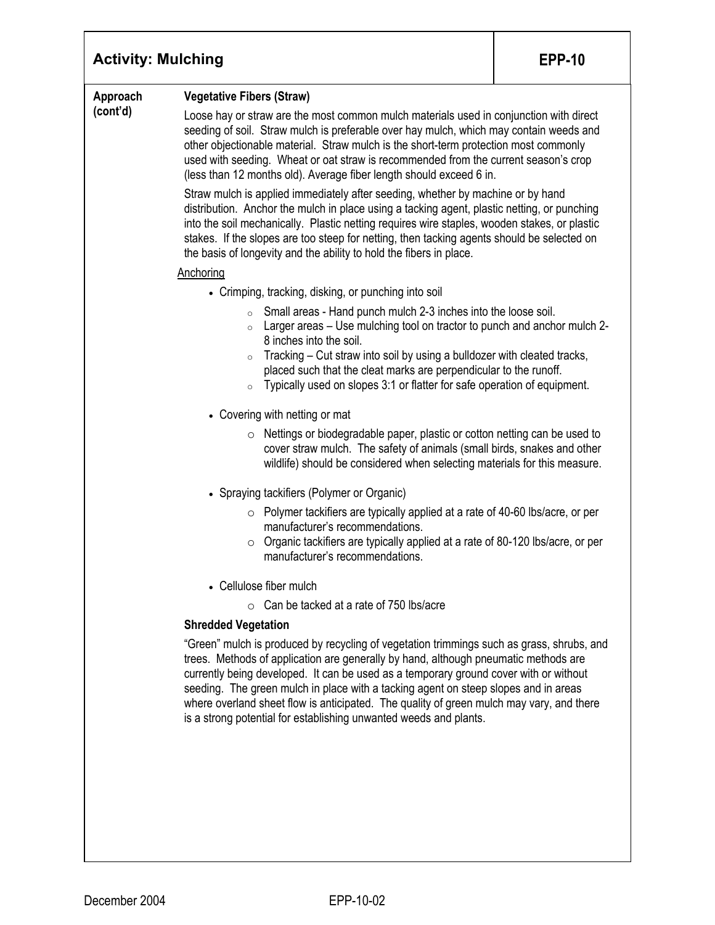| <b>Activity: Mulching</b> |                                                                                                                                                                                                                                                                                                                                                                                                                                                                                                                                                                                                                                                                                                                                                                                                                                                                                                                                                                                                                                                                                                                                                                                                                                                                                                                                                                                                                                                          | <b>EPP-10</b> |
|---------------------------|----------------------------------------------------------------------------------------------------------------------------------------------------------------------------------------------------------------------------------------------------------------------------------------------------------------------------------------------------------------------------------------------------------------------------------------------------------------------------------------------------------------------------------------------------------------------------------------------------------------------------------------------------------------------------------------------------------------------------------------------------------------------------------------------------------------------------------------------------------------------------------------------------------------------------------------------------------------------------------------------------------------------------------------------------------------------------------------------------------------------------------------------------------------------------------------------------------------------------------------------------------------------------------------------------------------------------------------------------------------------------------------------------------------------------------------------------------|---------------|
| Approach<br>(cont'd)      | <b>Vegetative Fibers (Straw)</b><br>Loose hay or straw are the most common mulch materials used in conjunction with direct<br>seeding of soil. Straw mulch is preferable over hay mulch, which may contain weeds and<br>other objectionable material. Straw mulch is the short-term protection most commonly<br>used with seeding. Wheat or oat straw is recommended from the current season's crop<br>(less than 12 months old). Average fiber length should exceed 6 in.<br>Straw mulch is applied immediately after seeding, whether by machine or by hand<br>distribution. Anchor the mulch in place using a tacking agent, plastic netting, or punching<br>into the soil mechanically. Plastic netting requires wire staples, wooden stakes, or plastic<br>stakes. If the slopes are too steep for netting, then tacking agents should be selected on<br>the basis of longevity and the ability to hold the fibers in place.<br>Anchoring<br>• Crimping, tracking, disking, or punching into soil<br>Small areas - Hand punch mulch 2-3 inches into the loose soil.<br>$\circ$<br>Larger areas – Use mulching tool on tractor to punch and anchor mulch 2-<br>$\circ$<br>8 inches into the soil.<br>Tracking – Cut straw into soil by using a bulldozer with cleated tracks,<br>$\circ$<br>placed such that the cleat marks are perpendicular to the runoff.<br>Typically used on slopes 3:1 or flatter for safe operation of equipment.<br>$\circ$ |               |
|                           | • Covering with netting or mat<br>Nettings or biodegradable paper, plastic or cotton netting can be used to<br>O<br>cover straw mulch. The safety of animals (small birds, snakes and other<br>wildlife) should be considered when selecting materials for this measure.<br>• Spraying tackifiers (Polymer or Organic)<br>$\circ$ Polymer tackifiers are typically applied at a rate of 40-60 lbs/acre, or per<br>manufacturer's recommendations.<br>Organic tackifiers are typically applied at a rate of 80-120 lbs/acre, or per<br>manufacturer's recommendations.<br>• Cellulose fiber mulch<br>$\circ$ Can be tacked at a rate of 750 lbs/acre<br><b>Shredded Vegetation</b><br>"Green" mulch is produced by recycling of vegetation trimmings such as grass, shrubs, and<br>trees. Methods of application are generally by hand, although pneumatic methods are<br>currently being developed. It can be used as a temporary ground cover with or without<br>seeding. The green mulch in place with a tacking agent on steep slopes and in areas<br>where overland sheet flow is anticipated. The quality of green mulch may vary, and there<br>is a strong potential for establishing unwanted weeds and plants.                                                                                                                                                                                                                                   |               |
|                           |                                                                                                                                                                                                                                                                                                                                                                                                                                                                                                                                                                                                                                                                                                                                                                                                                                                                                                                                                                                                                                                                                                                                                                                                                                                                                                                                                                                                                                                          |               |

Τ